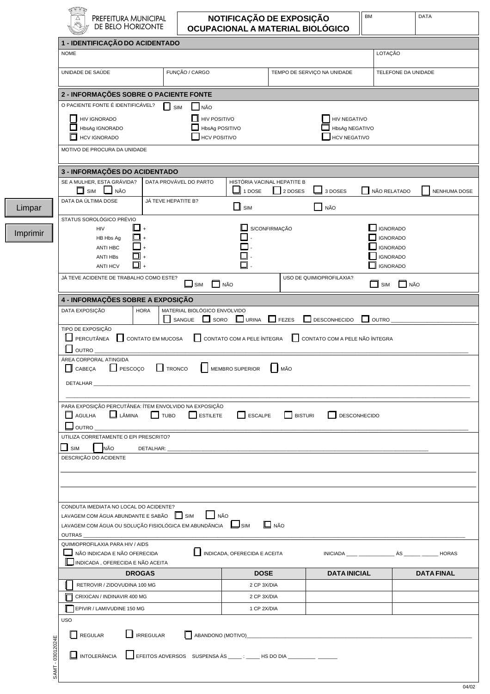| <b>NOME</b>                                                                                             | 1 - IDENTIFICAÇÃO DO ACIDENTADO |                                       |                                       |                                       |                             | LOTAÇÃO         |                     |
|---------------------------------------------------------------------------------------------------------|---------------------------------|---------------------------------------|---------------------------------------|---------------------------------------|-----------------------------|-----------------|---------------------|
|                                                                                                         |                                 |                                       |                                       |                                       |                             |                 |                     |
| UNIDADE DE SAÚDE                                                                                        |                                 | FUNÇÃO / CARGO                        |                                       |                                       | TEMPO DE SERVIÇO NA UNIDADE |                 | TELEFONE DA UNIDADE |
| 2 - INFORMAÇÕES SOBRE O PACIENTE FONTE                                                                  |                                 |                                       |                                       |                                       |                             |                 |                     |
| O PACIENTE FONTE É IDENTIFICÁVEL?                                                                       | $\Box$ SIM                      | NÃO                                   |                                       |                                       |                             |                 |                     |
| <b>HIV IGNORADO</b><br>l I                                                                              |                                 | $\Box$ HIV POSITIVO                   |                                       |                                       | HIV NEGATIVO                |                 |                     |
| HbsAg IGNORADO<br>П<br><b>HCV IGNORADO</b>                                                              |                                 | HbsAg POSITIVO<br><b>HCV POSITIVO</b> |                                       | HbsAg NEGATIVO<br><b>HCV NEGATIVO</b> |                             |                 |                     |
| MOTIVO DE PROCURA DA UNIDADE                                                                            |                                 |                                       |                                       |                                       |                             |                 |                     |
| 3 - INFORMAÇÕES DO ACIDENTADO                                                                           |                                 |                                       |                                       |                                       |                             |                 |                     |
| SE A MULHER, ESTA GRÁVIDA?                                                                              | DATA PROVÁVEL DO PARTO          |                                       | HISTÓRIA VACINAL HEPATITE B           |                                       |                             |                 |                     |
| П<br>$\Box$ NÃO<br>SIM                                                                                  |                                 |                                       | 1 DOSE                                | $\Box$ 2 DOSES                        | 3 DOSES                     | NÃO RELATADO    | NENHUMA DOSE        |
| DATA DA ÚLTIMA DOSE                                                                                     | JÁ TEVE HEPATITE B?             |                                       |                                       |                                       |                             |                 |                     |
| STATUS SOROLÓGICO PRÉVIO                                                                                |                                 |                                       | $\square$ sim                         |                                       | NÃO                         |                 |                     |
| HIV                                                                                                     |                                 |                                       |                                       | S/CONFIRMAÇÃO                         |                             | <b>IGNORADO</b> |                     |
| HB Hbs Ag                                                                                               |                                 |                                       |                                       |                                       |                             | <b>IGNORADO</b> |                     |
| <b>ANTI HBC</b>                                                                                         |                                 |                                       |                                       |                                       |                             | <b>IGNORADO</b> |                     |
| ANTI HBs                                                                                                |                                 |                                       | $\Box$ -                              |                                       |                             | <b>IGNORADO</b> |                     |
| <b>ANTI HCV</b>                                                                                         |                                 |                                       | 口.                                    |                                       |                             | <b>IGNORADO</b> |                     |
| JÁ TEVE ACIDENTE DE TRABALHO COMO ESTE?                                                                 |                                 | $\Box$ NÃO<br>$\Box$ sim              |                                       |                                       | USO DE QUIMIOPROFILAXIA?    | $\Box$ SIM      | $\Box$ NÃO          |
| 4 - INFORMAÇÕES SOBRE A EXPOSIÇÃO                                                                       |                                 |                                       |                                       |                                       |                             |                 |                     |
| DATA EXPOSIÇÃO                                                                                          | <b>HORA</b>                     | MATERIAL BIOLÓGICO ENVOLVIDO          |                                       |                                       |                             |                 |                     |
| TIPO DE EXPOSIÇÃO                                                                                       | SANGUE                          |                                       | $\Box$ SORO $\Box$ URINA $\Box$ FEZES |                                       | $\Box$ DESCONHECIDO         | $\square$ OUTRO |                     |
| ÁREA CORPORAL ATINGIDA<br>П<br>CABEÇA<br>PESCOÇO                                                        | l I<br><b>TRONCO</b>            |                                       | MEMBRO SUPERIOR                       | MÃO                                   |                             |                 |                     |
|                                                                                                         |                                 |                                       |                                       |                                       |                             |                 |                     |
| PARA EXPOSIÇÃO PERCUTÂNEA: ÍTEM ENVOLVIDO NA EXPOSIÇÃO                                                  |                                 |                                       |                                       |                                       |                             |                 |                     |
| $\Box$ AGULHA<br>$\Box$ LÂMINA                                                                          | $\Box$ TUBO                     | $\Box$ estilete                       | ESCALPE                               | <b>BISTURI</b>                        | $\Box$ DESCONHECIDO         |                 |                     |
| $\Box$ OUTRO                                                                                            |                                 |                                       |                                       |                                       |                             |                 |                     |
| UTILIZA CORRETAMENTE O EPI PRESCRITO?                                                                   |                                 |                                       |                                       |                                       |                             |                 |                     |
|                                                                                                         |                                 |                                       |                                       |                                       |                             |                 |                     |
| NÃO                                                                                                     |                                 |                                       |                                       |                                       |                             |                 |                     |
| $\Box$ SIM<br>DESCRIÇÃO DO ACIDENTE                                                                     |                                 |                                       |                                       |                                       |                             |                 |                     |
|                                                                                                         |                                 |                                       |                                       |                                       |                             |                 |                     |
|                                                                                                         |                                 |                                       |                                       |                                       |                             |                 |                     |
|                                                                                                         |                                 |                                       |                                       |                                       |                             |                 |                     |
| CONDUTA IMEDIATA NO LOCAL DO ACIDENTE?                                                                  |                                 |                                       |                                       |                                       |                             |                 |                     |
| LAVAGEM COM ÁGUA ABUNDANTE E SABÃO   SIM<br>LAVAGEM COM ÁGUA OU SOLUÇÃO FISIOLÓGICA EM ABUNDÂNCIA LISIM |                                 | NÃO                                   |                                       | $\Box$ NÃO                            |                             |                 |                     |
|                                                                                                         |                                 |                                       |                                       |                                       |                             |                 |                     |
| QUIMIOPROFILAXIA PARA HIV / AIDS                                                                        |                                 |                                       |                                       |                                       |                             |                 |                     |
| NÃO INDICADA E NÃO OFERECIDA                                                                            |                                 |                                       | INDICADA, OFERECIDA E ACEITA          |                                       |                             |                 |                     |
| INDICADA, OFERECIDA E NÃO ACEITA                                                                        |                                 |                                       |                                       |                                       |                             |                 |                     |
|                                                                                                         | <b>DROGAS</b>                   |                                       | <b>DOSE</b>                           |                                       | <b>DATA INICIAL</b>         |                 | <b>DATA FINAL</b>   |
| RETROVIR / ZIDOVUDINA 100 MG                                                                            |                                 |                                       | 2 CP 3X/DIA                           |                                       |                             |                 |                     |
| CRIXICAN / INDINAVIR 400 MG                                                                             |                                 |                                       | 2 CP 3X/DIA                           |                                       |                             |                 |                     |
| EPIVIR / LAMIVUDINE 150 MG                                                                              |                                 |                                       | 1 CP 2X/DIA                           |                                       |                             |                 |                     |
| <b>USO</b>                                                                                              |                                 |                                       |                                       |                                       |                             |                 |                     |